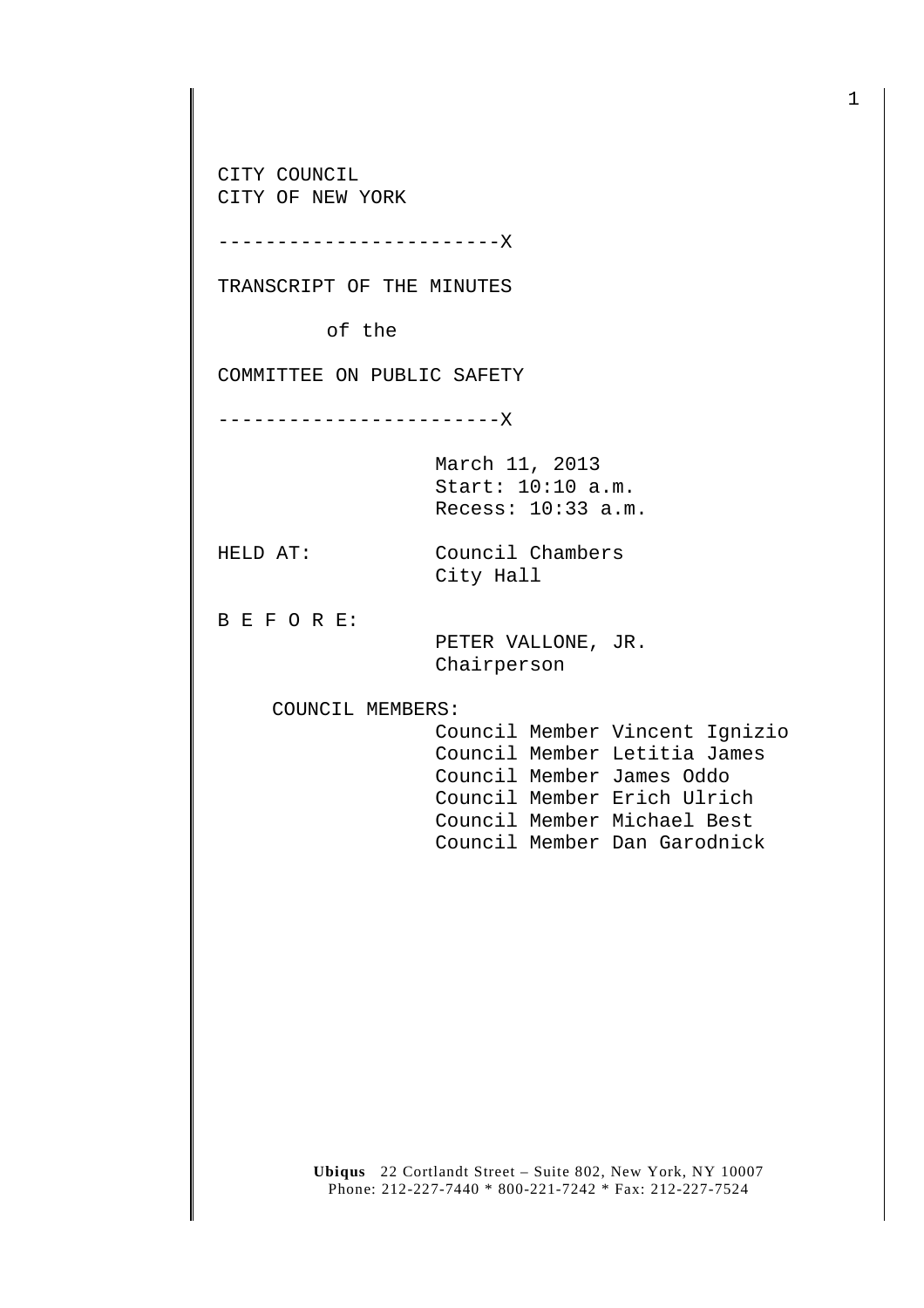CITY COUNCIL CITY OF NEW YORK

------------------------X

TRANSCRIPT OF THE MINUTES

of the

COMMITTEE ON PUBLIC SAFETY

------------------------X

March 11, 2013 Start: 10:10 a.m. Recess: 10:33 a.m.

HELD AT: Council Chambers City Hall

B E F O R E:

 PETER VALLONE, JR. Chairperson

COUNCIL MEMBERS:

 Council Member Vincent Ignizio Council Member Letitia James Council Member James Oddo Council Member Erich Ulrich Council Member Michael Best Council Member Dan Garodnick

**Ubiqus** 22 Cortlandt Street – Suite 802, New York, NY 10007 Phone: 212-227-7440 \* 800-221-7242 \* Fax: 212-227-7524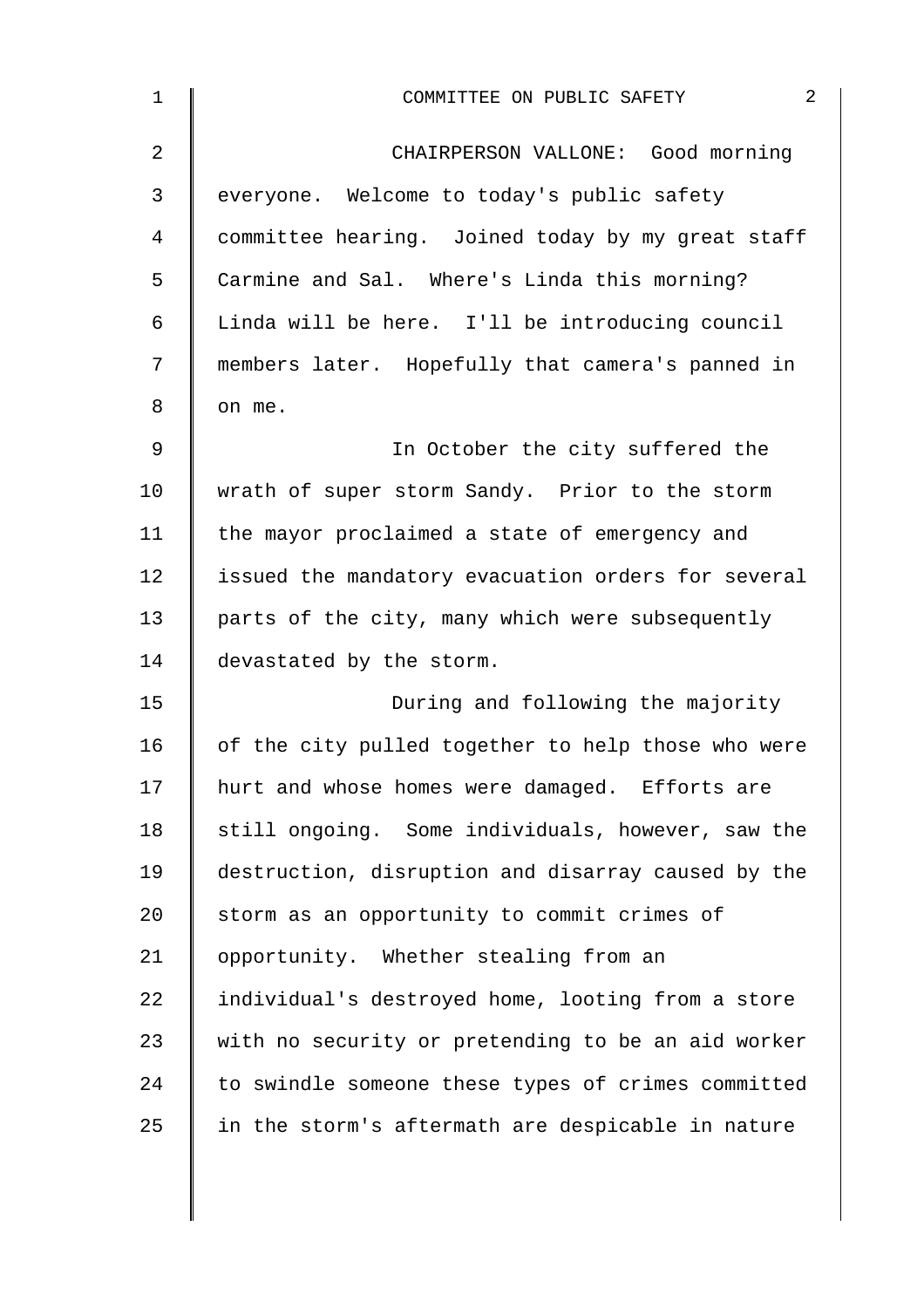| $\mathbf{1}$   | $\mathbf{2}$<br>COMMITTEE ON PUBLIC SAFETY         |
|----------------|----------------------------------------------------|
| $\overline{2}$ | CHAIRPERSON VALLONE: Good morning                  |
| 3              | everyone. Welcome to today's public safety         |
| 4              | committee hearing. Joined today by my great staff  |
| 5              | Carmine and Sal. Where's Linda this morning?       |
| 6              | Linda will be here. I'll be introducing council    |
| 7              | members later. Hopefully that camera's panned in   |
| 8              | on me.                                             |
| 9              | In October the city suffered the                   |
| 10             | wrath of super storm Sandy. Prior to the storm     |
| 11             | the mayor proclaimed a state of emergency and      |
| 12             | issued the mandatory evacuation orders for several |
| 13             | parts of the city, many which were subsequently    |
| 14             | devastated by the storm.                           |
| 15             | During and following the majority                  |
| 16             | of the city pulled together to help those who were |
| 17             | hurt and whose homes were damaged. Efforts are     |
| 18             | still ongoing. Some individuals, however, saw the  |
| 19             | destruction, disruption and disarray caused by the |
| 20             | storm as an opportunity to commit crimes of        |
| 21             | opportunity. Whether stealing from an              |
| 22             | individual's destroyed home, looting from a store  |
| 23             | with no security or pretending to be an aid worker |
| 24             | to swindle someone these types of crimes committed |
| 25             | in the storm's aftermath are despicable in nature  |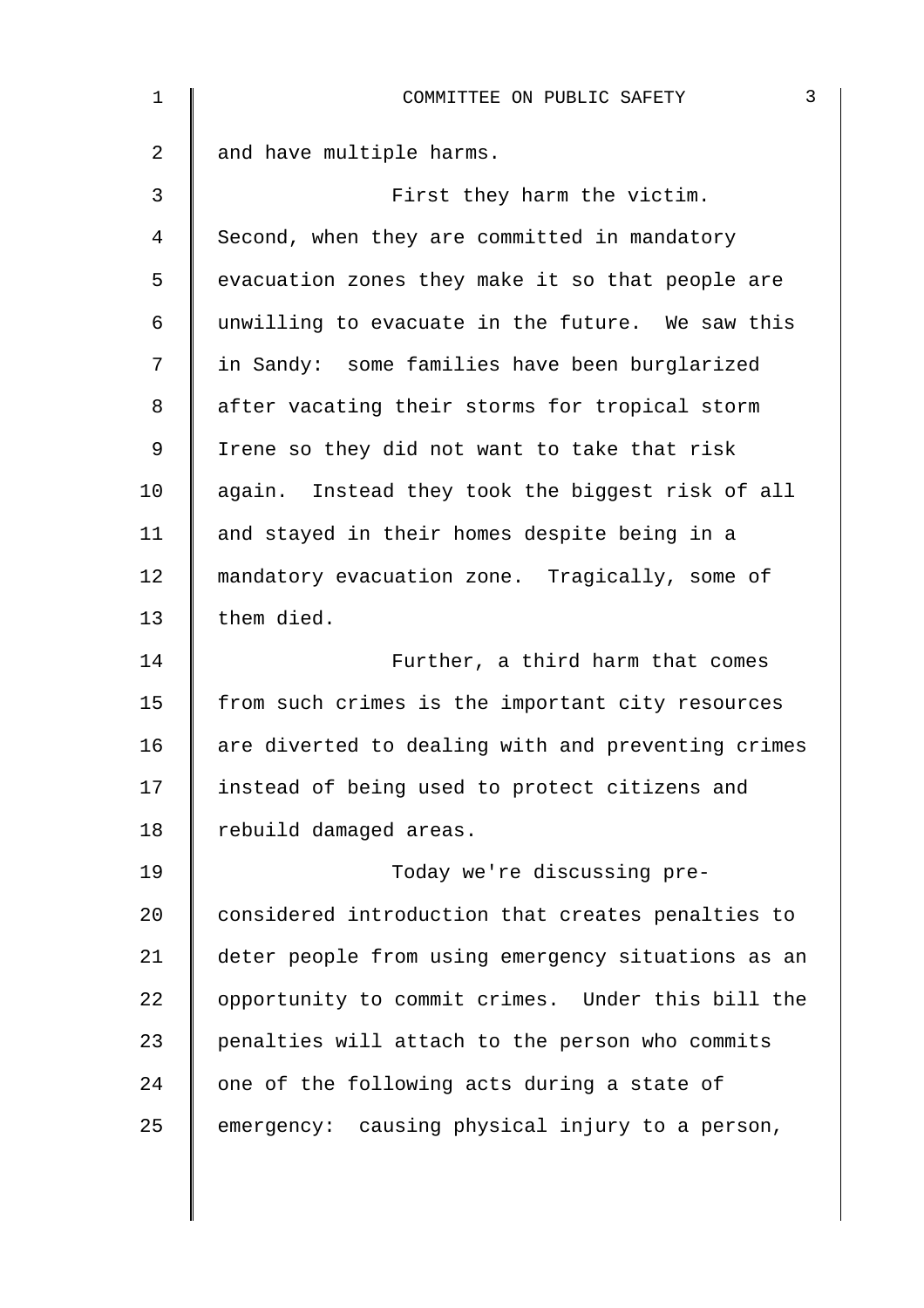| 1              | $\mathsf{3}$<br>COMMITTEE ON PUBLIC SAFETY         |
|----------------|----------------------------------------------------|
| $\overline{2}$ | and have multiple harms.                           |
| 3              | First they harm the victim.                        |
| 4              | Second, when they are committed in mandatory       |
| 5              | evacuation zones they make it so that people are   |
| 6              | unwilling to evacuate in the future. We saw this   |
| 7              | in Sandy: some families have been burglarized      |
| 8              | after vacating their storms for tropical storm     |
| 9              | Irene so they did not want to take that risk       |
| 10             | again. Instead they took the biggest risk of all   |
| 11             | and stayed in their homes despite being in a       |
| 12             | mandatory evacuation zone. Tragically, some of     |
| 13             | them died.                                         |
| 14             | Further, a third harm that comes                   |
| 15             | from such crimes is the important city resources   |
| 16             | are diverted to dealing with and preventing crimes |
| 17             | instead of being used to protect citizens and      |
| 18             | rebuild damaged areas.                             |
| 19             | Today we're discussing pre-                        |
| 20             | considered introduction that creates penalties to  |
| 21             | deter people from using emergency situations as an |
| 22             | opportunity to commit crimes. Under this bill the  |
| 23             | penalties will attach to the person who commits    |
| 24             | one of the following acts during a state of        |
| 25             | emergency: causing physical injury to a person,    |
|                |                                                    |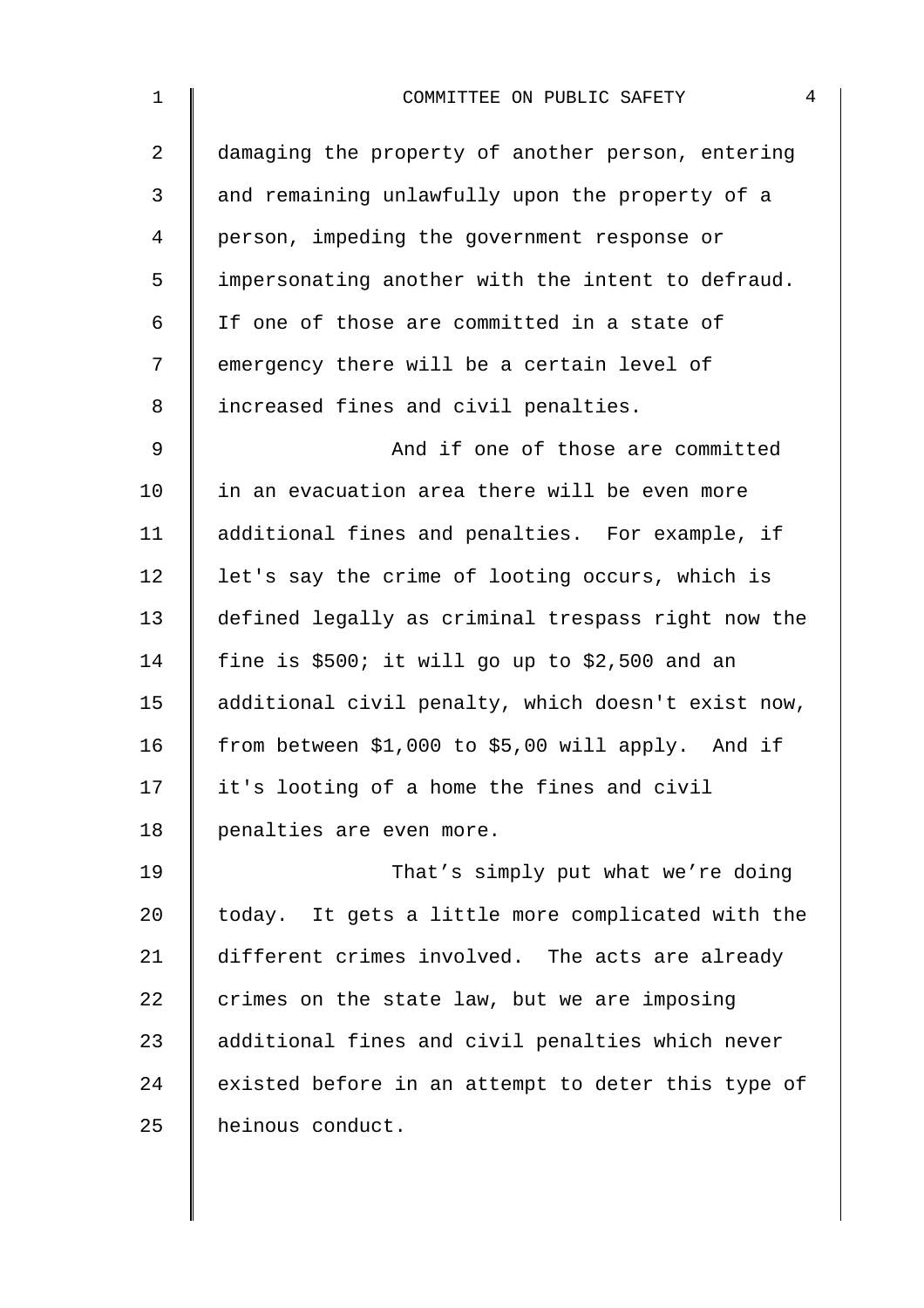| 4<br>COMMITTEE ON PUBLIC SAFETY                    |
|----------------------------------------------------|
| damaging the property of another person, entering  |
| and remaining unlawfully upon the property of a    |
| person, impeding the government response or        |
| impersonating another with the intent to defraud.  |
| If one of those are committed in a state of        |
| emergency there will be a certain level of         |
| increased fines and civil penalties.               |
| And if one of those are committed                  |
| in an evacuation area there will be even more      |
| additional fines and penalties. For example, if    |
| let's say the crime of looting occurs, which is    |
| defined legally as criminal trespass right now the |
| fine is \$500; it will go up to \$2,500 and an     |
| additional civil penalty, which doesn't exist now, |
| from between \$1,000 to \$5,00 will apply. And if  |
| it's looting of a home the fines and civil         |
| penalties are even more.                           |
| That's simply put what we're doing                 |
| today. It gets a little more complicated with the  |
| different crimes involved. The acts are already    |
| crimes on the state law, but we are imposing       |
| additional fines and civil penalties which never   |
| existed before in an attempt to deter this type of |
| heinous conduct.                                   |
|                                                    |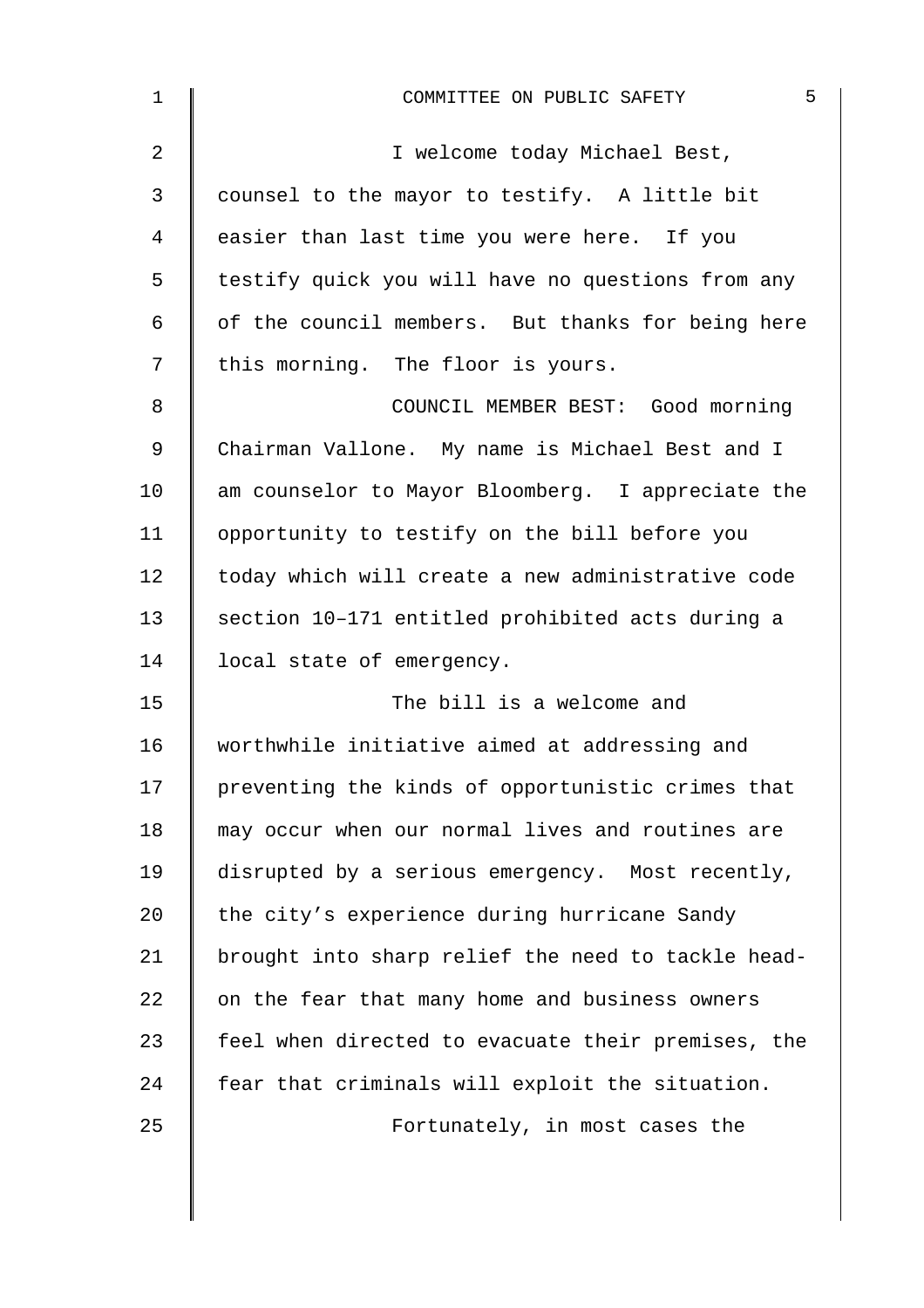| 1              | 5<br>COMMITTEE ON PUBLIC SAFETY                    |
|----------------|----------------------------------------------------|
| $\overline{2}$ | I welcome today Michael Best,                      |
| 3              | counsel to the mayor to testify. A little bit      |
| 4              | easier than last time you were here. If you        |
| 5              | testify quick you will have no questions from any  |
| $\epsilon$     | of the council members. But thanks for being here  |
| 7              | this morning. The floor is yours.                  |
| 8              | COUNCIL MEMBER BEST: Good morning                  |
| $\mathsf 9$    | Chairman Vallone. My name is Michael Best and I    |
| 10             | am counselor to Mayor Bloomberg. I appreciate the  |
| 11             | opportunity to testify on the bill before you      |
| 12             | today which will create a new administrative code  |
| 13             | section 10-171 entitled prohibited acts during a   |
| 14             | local state of emergency.                          |
| 15             | The bill is a welcome and                          |
| 16             | worthwhile initiative aimed at addressing and      |
| 17             | preventing the kinds of opportunistic crimes that  |
| 18             | may occur when our normal lives and routines are   |
| 19             | disrupted by a serious emergency. Most recently,   |
| 20             | the city's experience during hurricane Sandy       |
| 21             | brought into sharp relief the need to tackle head- |
| 22             | on the fear that many home and business owners     |
| 23             | feel when directed to evacuate their premises, the |
| 24             | fear that criminals will exploit the situation.    |
| 25             | Fortunately, in most cases the                     |
|                |                                                    |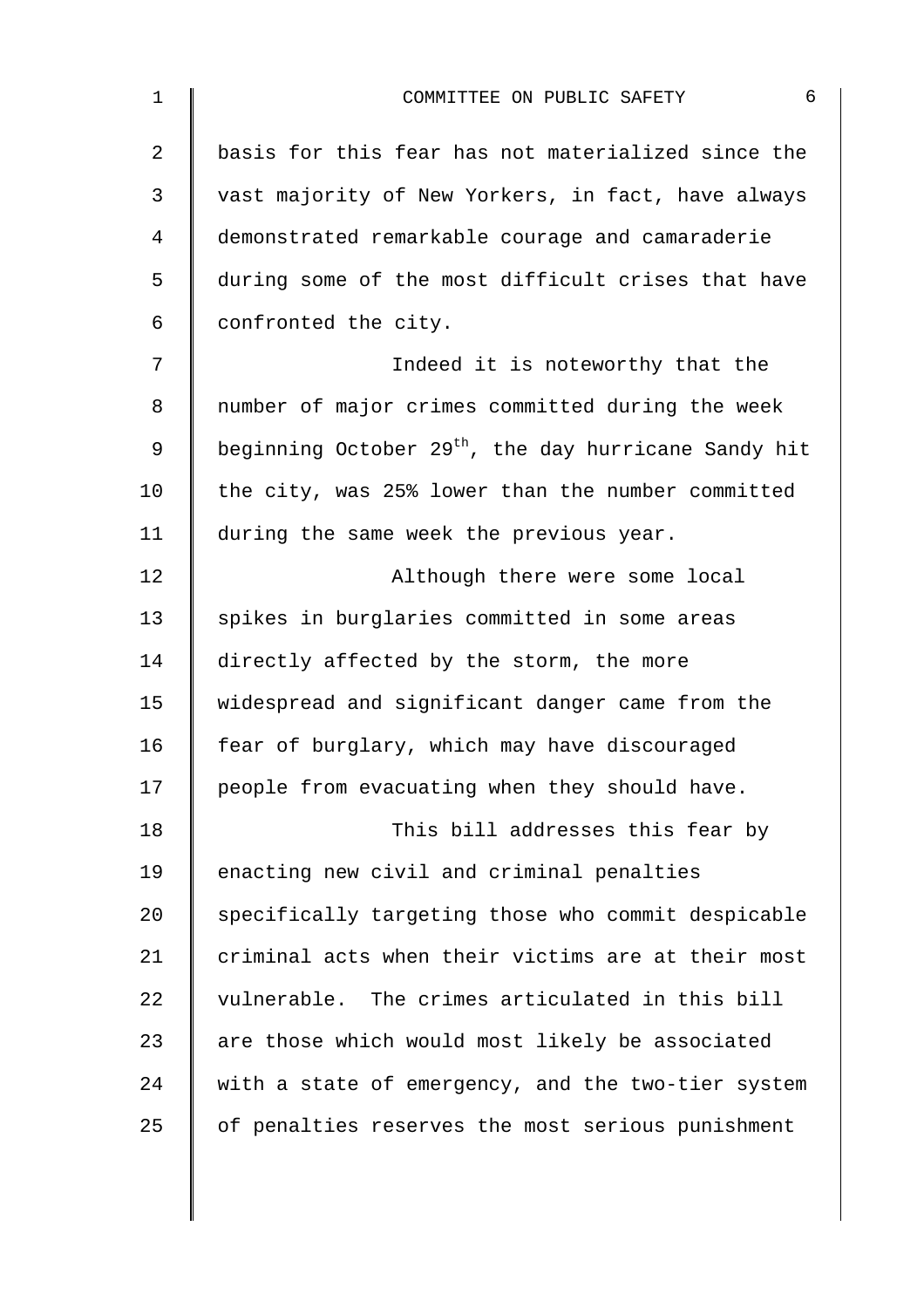| $\mathbf{1}$ | 6<br>COMMITTEE ON PUBLIC SAFETY                                  |
|--------------|------------------------------------------------------------------|
| 2            | basis for this fear has not materialized since the               |
| 3            | vast majority of New Yorkers, in fact, have always               |
| 4            | demonstrated remarkable courage and camaraderie                  |
| 5            | during some of the most difficult crises that have               |
| 6            | confronted the city.                                             |
| 7            | Indeed it is noteworthy that the                                 |
| 8            | number of major crimes committed during the week                 |
| 9            | beginning October 29 <sup>th</sup> , the day hurricane Sandy hit |
| 10           | the city, was 25% lower than the number committed                |
| 11           | during the same week the previous year.                          |
| 12           | Although there were some local                                   |
| 13           | spikes in burglaries committed in some areas                     |
| 14           | directly affected by the storm, the more                         |
| 15           | widespread and significant danger came from the                  |
| 16           | fear of burglary, which may have discouraged                     |
| 17           | people from evacuating when they should have.                    |
| 18           | This bill addresses this fear by                                 |
| 19           | enacting new civil and criminal penalties                        |
| 20           | specifically targeting those who commit despicable               |
| 21           | criminal acts when their victims are at their most               |
| 22           | vulnerable. The crimes articulated in this bill                  |
| 23           | are those which would most likely be associated                  |
| 24           | with a state of emergency, and the two-tier system               |
| 25           | of penalties reserves the most serious punishment                |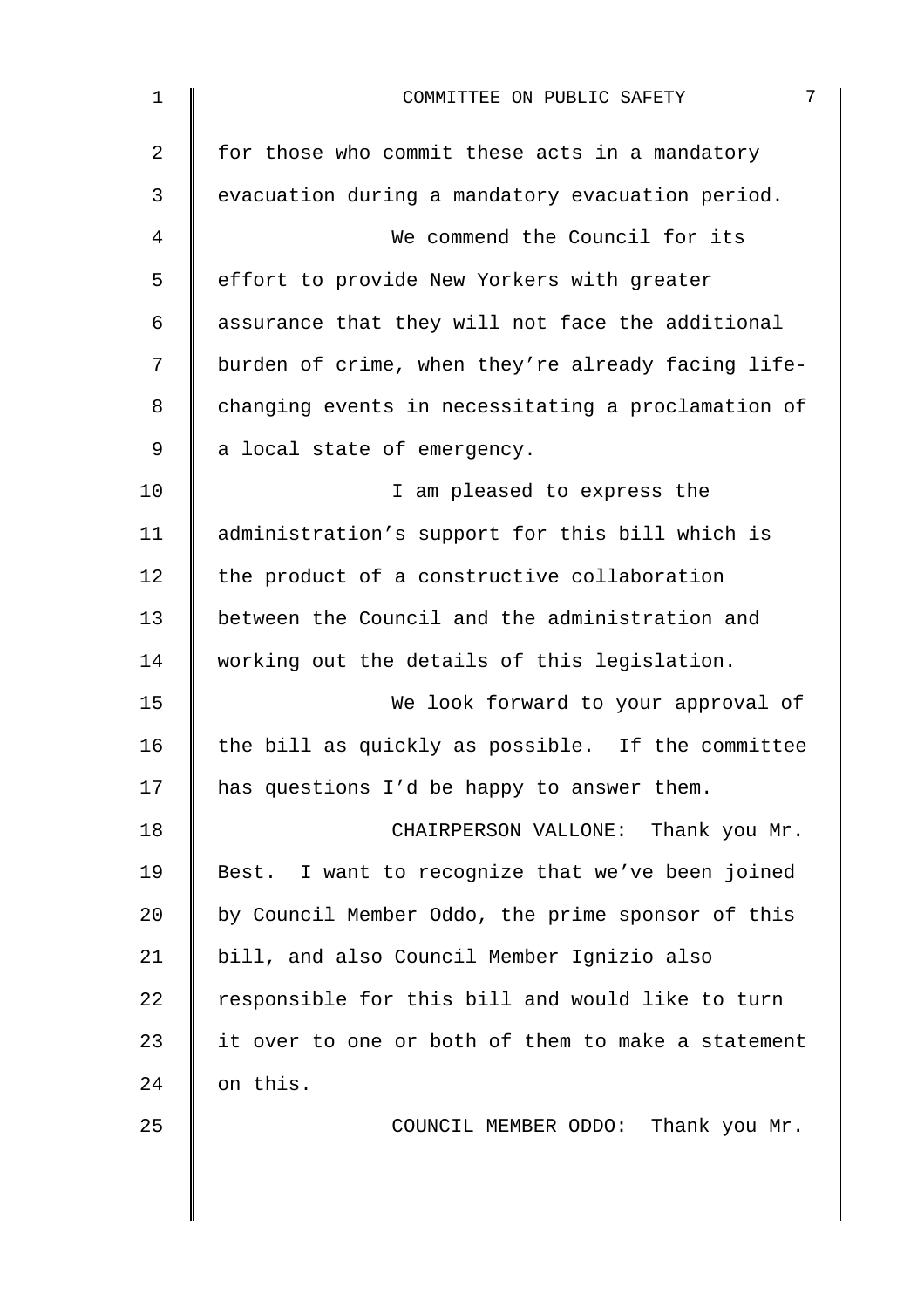| $\mathbf 1$    | 7<br>COMMITTEE ON PUBLIC SAFETY                    |
|----------------|----------------------------------------------------|
| $\overline{2}$ | for those who commit these acts in a mandatory     |
| 3              | evacuation during a mandatory evacuation period.   |
| 4              | We commend the Council for its                     |
| 5              | effort to provide New Yorkers with greater         |
| 6              | assurance that they will not face the additional   |
| 7              | burden of crime, when they're already facing life- |
| 8              | changing events in necessitating a proclamation of |
| 9              | a local state of emergency.                        |
| 10             | I am pleased to express the                        |
| 11             | administration's support for this bill which is    |
| 12             | the product of a constructive collaboration        |
| 13             | between the Council and the administration and     |
| 14             | working out the details of this legislation.       |
| 15             | We look forward to your approval of                |
| 16             | the bill as quickly as possible. If the committee  |
| 17             | has questions I'd be happy to answer them.         |
| 18             | CHAIRPERSON VALLONE: Thank you Mr.                 |
| 19             | Best. I want to recognize that we've been joined   |
| 20             | by Council Member Oddo, the prime sponsor of this  |
| 21             | bill, and also Council Member Ignizio also         |
| 22             | responsible for this bill and would like to turn   |
| 23             | it over to one or both of them to make a statement |
| 24             | on this.                                           |
| 25             | COUNCIL MEMBER ODDO: Thank you Mr.                 |
|                |                                                    |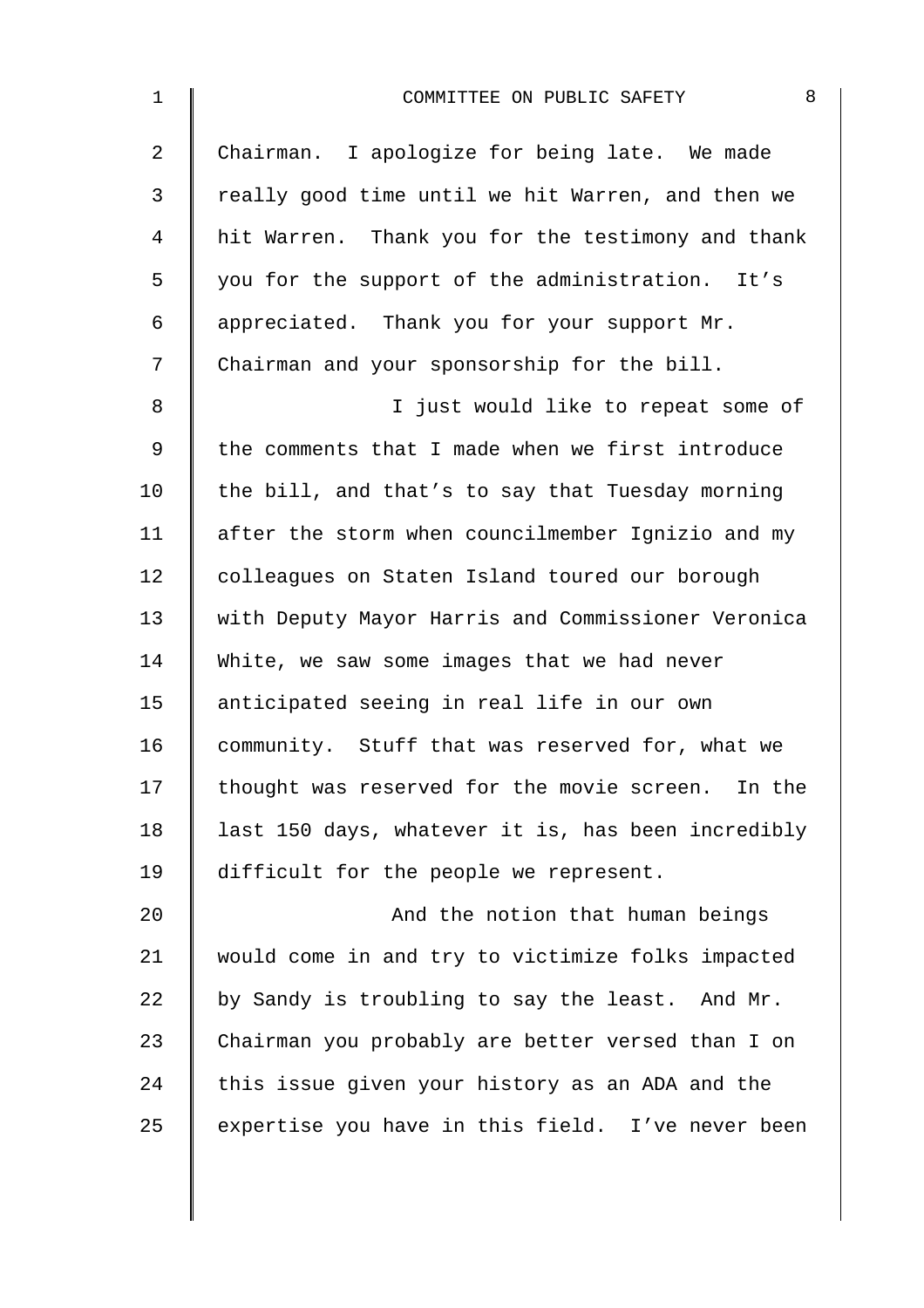| $\mathbf 1$    | 8<br>COMMITTEE ON PUBLIC SAFETY                    |
|----------------|----------------------------------------------------|
| $\overline{a}$ | Chairman. I apologize for being late. We made      |
| 3              | really good time until we hit Warren, and then we  |
| 4              | hit Warren. Thank you for the testimony and thank  |
| 5              | you for the support of the administration. It's    |
| 6              | appreciated. Thank you for your support Mr.        |
| 7              | Chairman and your sponsorship for the bill.        |
| 8              | I just would like to repeat some of                |
| 9              | the comments that I made when we first introduce   |
| 10             | the bill, and that's to say that Tuesday morning   |
| 11             | after the storm when councilmember Ignizio and my  |
| 12             | colleagues on Staten Island toured our borough     |
| 13             | with Deputy Mayor Harris and Commissioner Veronica |
| 14             | White, we saw some images that we had never        |
| 15             | anticipated seeing in real life in our own         |
| 16             | community. Stuff that was reserved for, what we    |
| 17             | thought was reserved for the movie screen. In the  |
| 18             | last 150 days, whatever it is, has been incredibly |
| 19             | difficult for the people we represent.             |
| 20             | And the notion that human beings                   |
| 21             | would come in and try to victimize folks impacted  |
| 22             | by Sandy is troubling to say the least. And Mr.    |
| 23             | Chairman you probably are better versed than I on  |
| 24             | this issue given your history as an ADA and the    |
| 25             | expertise you have in this field. I've never been  |
|                |                                                    |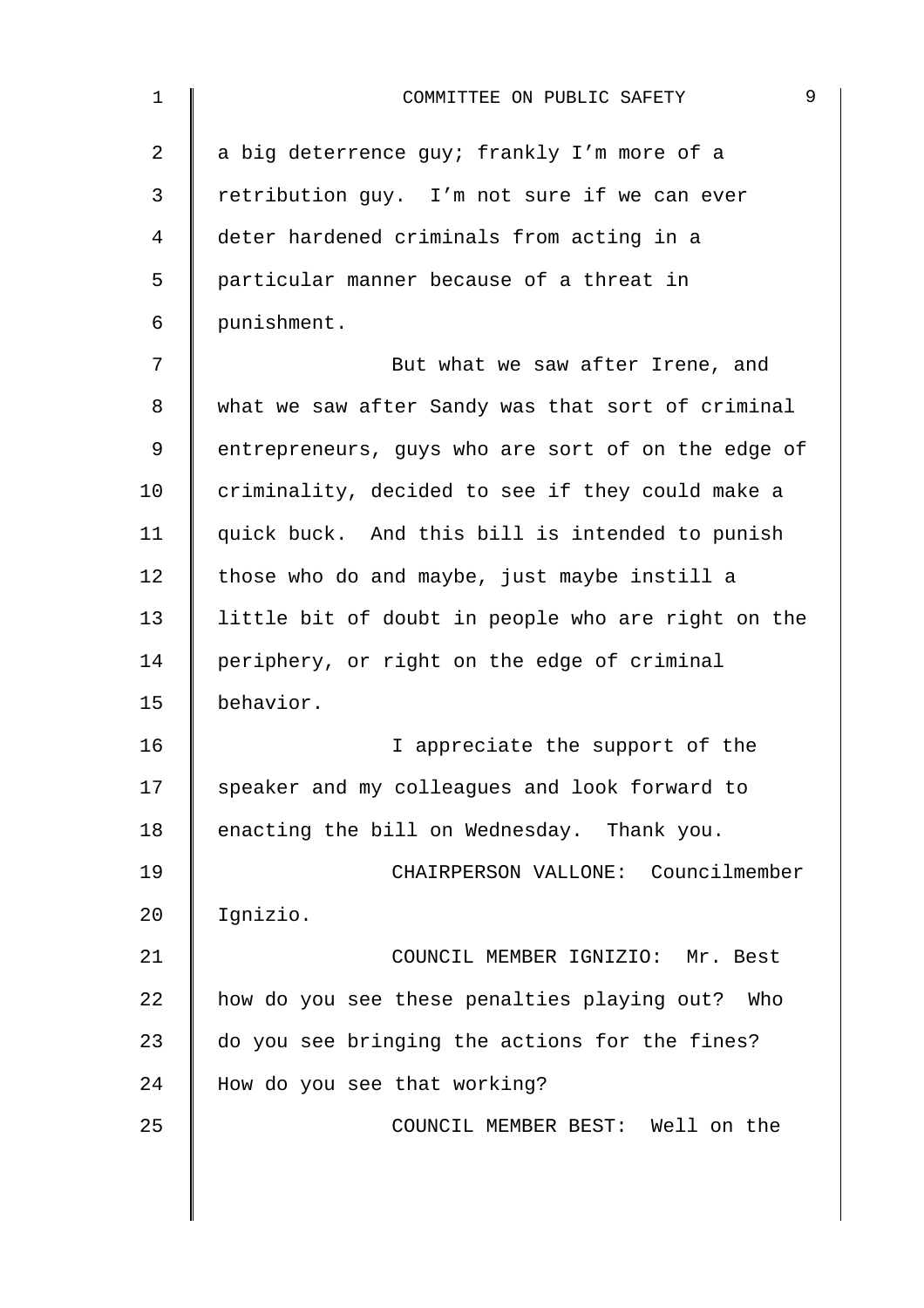| $\mathbf 1$ | 9<br>COMMITTEE ON PUBLIC SAFETY                    |
|-------------|----------------------------------------------------|
| 2           | a big deterrence guy; frankly I'm more of a        |
| 3           | retribution guy. I'm not sure if we can ever       |
| 4           | deter hardened criminals from acting in a          |
| 5           | particular manner because of a threat in           |
| 6           | punishment.                                        |
| 7           | But what we saw after Irene, and                   |
| 8           | what we saw after Sandy was that sort of criminal  |
| 9           | entrepreneurs, guys who are sort of on the edge of |
| 10          | criminality, decided to see if they could make a   |
| 11          | quick buck. And this bill is intended to punish    |
| 12          | those who do and maybe, just maybe instill a       |
| 13          | little bit of doubt in people who are right on the |
| 14          | periphery, or right on the edge of criminal        |
| 15          | behavior.                                          |
| 16          | I appreciate the support of the                    |
| 17          | speaker and my colleagues and look forward to      |
| 18          | enacting the bill on Wednesday. Thank you.         |
| 19          | CHAIRPERSON VALLONE: Councilmember                 |
| 20          | Ignizio.                                           |
| 21          | COUNCIL MEMBER IGNIZIO: Mr. Best                   |
| 22          | how do you see these penalties playing out?<br>Who |
| 23          | do you see bringing the actions for the fines?     |
| 24          | How do you see that working?                       |
| 25          | COUNCIL MEMBER BEST: Well on the                   |
|             |                                                    |
|             |                                                    |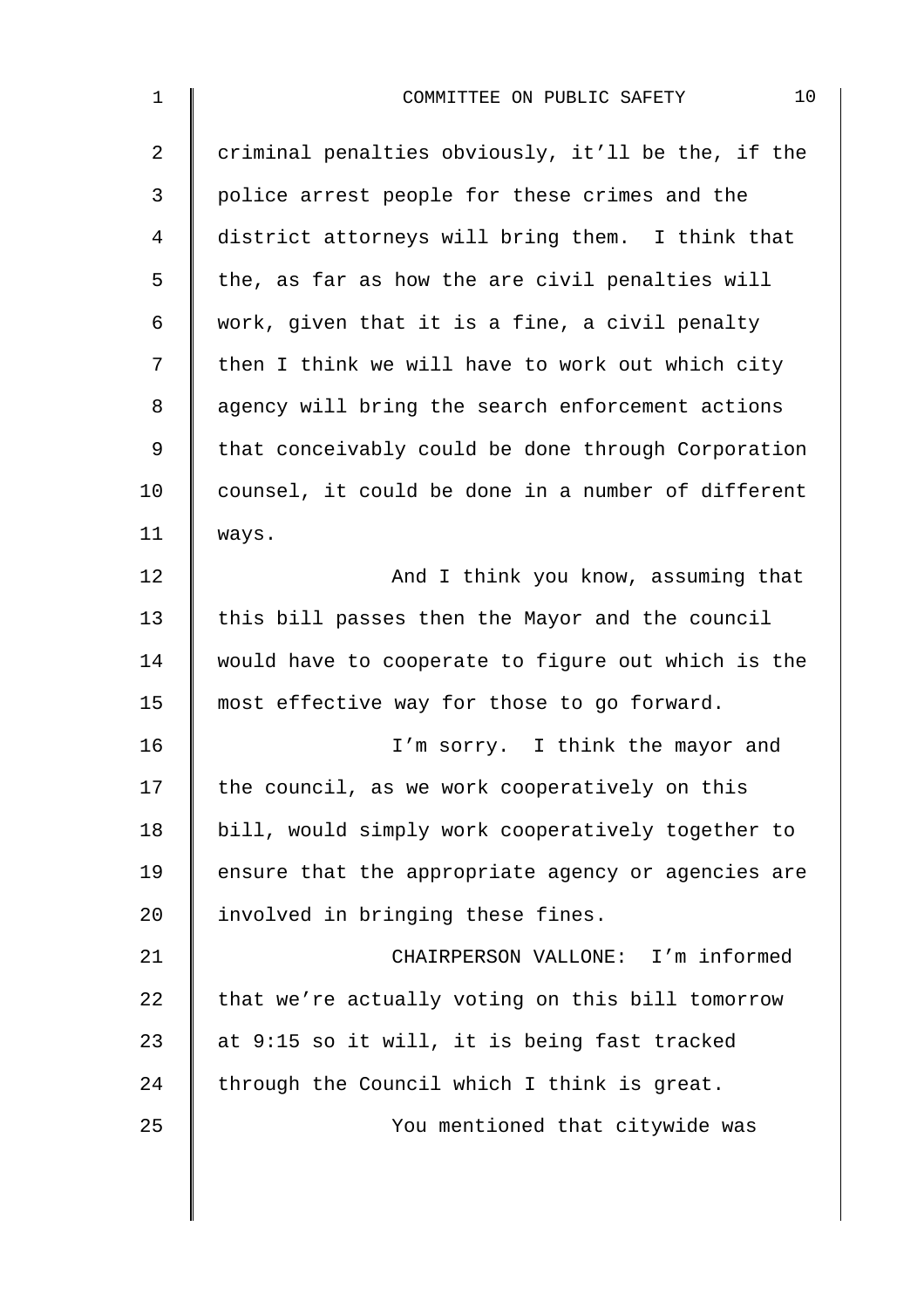| $\mathbf 1$    | 10<br>COMMITTEE ON PUBLIC SAFETY                   |
|----------------|----------------------------------------------------|
| $\overline{2}$ | criminal penalties obviously, it'll be the, if the |
| 3              | police arrest people for these crimes and the      |
| 4              | district attorneys will bring them. I think that   |
| 5              | the, as far as how the are civil penalties will    |
| $\epsilon$     | work, given that it is a fine, a civil penalty     |
| 7              | then I think we will have to work out which city   |
| 8              | agency will bring the search enforcement actions   |
| 9              | that conceivably could be done through Corporation |
| 10             | counsel, it could be done in a number of different |
| 11             | ways.                                              |
| 12             | And I think you know, assuming that                |
| 13             | this bill passes then the Mayor and the council    |
| 14             | would have to cooperate to figure out which is the |
| 15             | most effective way for those to go forward.        |
| 16             | I'm sorry. I think the mayor and                   |
| 17             | the council, as we work cooperatively on this      |
| 18             | bill, would simply work cooperatively together to  |
| 19             | ensure that the appropriate agency or agencies are |
| 20             | involved in bringing these fines.                  |
| 21             | CHAIRPERSON VALLONE: I'm informed                  |
| 22             | that we're actually voting on this bill tomorrow   |
| 23             | at 9:15 so it will, it is being fast tracked       |
| 24             | through the Council which I think is great.        |
| 25             | You mentioned that citywide was                    |
|                |                                                    |
|                |                                                    |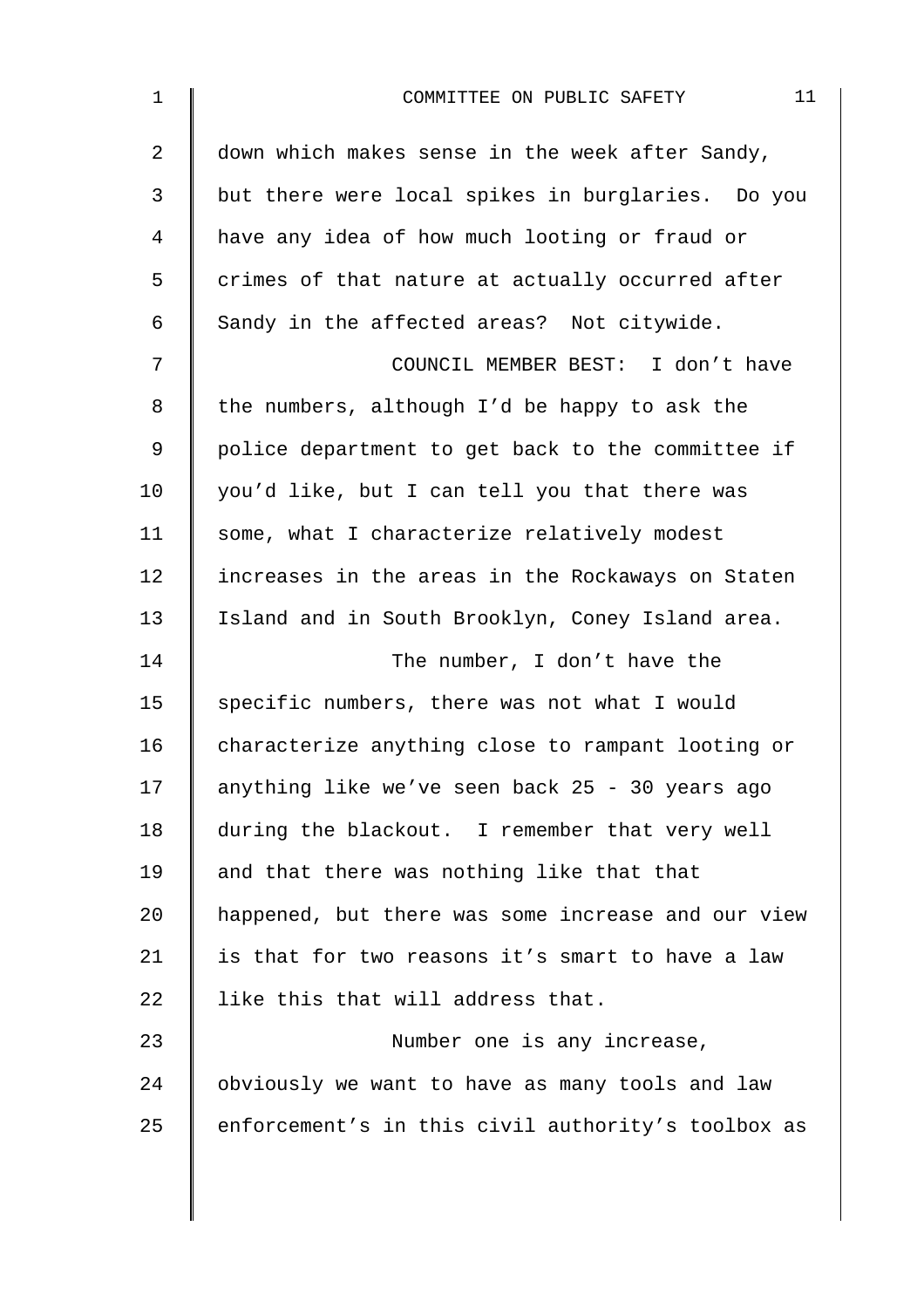| 1  | 11<br>COMMITTEE ON PUBLIC SAFETY                   |
|----|----------------------------------------------------|
| 2  | down which makes sense in the week after Sandy,    |
| 3  | but there were local spikes in burglaries. Do you  |
| 4  | have any idea of how much looting or fraud or      |
| 5  | crimes of that nature at actually occurred after   |
| 6  | Sandy in the affected areas? Not citywide.         |
| 7  | COUNCIL MEMBER BEST: I don't have                  |
| 8  | the numbers, although I'd be happy to ask the      |
| 9  | police department to get back to the committee if  |
| 10 | you'd like, but I can tell you that there was      |
| 11 | some, what I characterize relatively modest        |
| 12 | increases in the areas in the Rockaways on Staten  |
| 13 | Island and in South Brooklyn, Coney Island area.   |
| 14 | The number, I don't have the                       |
| 15 | specific numbers, there was not what I would       |
| 16 | characterize anything close to rampant looting or  |
| 17 | anything like we've seen back 25 - 30 years ago    |
| 18 | during the blackout. I remember that very well     |
| 19 | and that there was nothing like that that          |
| 20 | happened, but there was some increase and our view |
| 21 | is that for two reasons it's smart to have a law   |
| 22 | like this that will address that.                  |
| 23 | Number one is any increase,                        |
| 24 | obviously we want to have as many tools and law    |
| 25 | enforcement's in this civil authority's toolbox as |
|    |                                                    |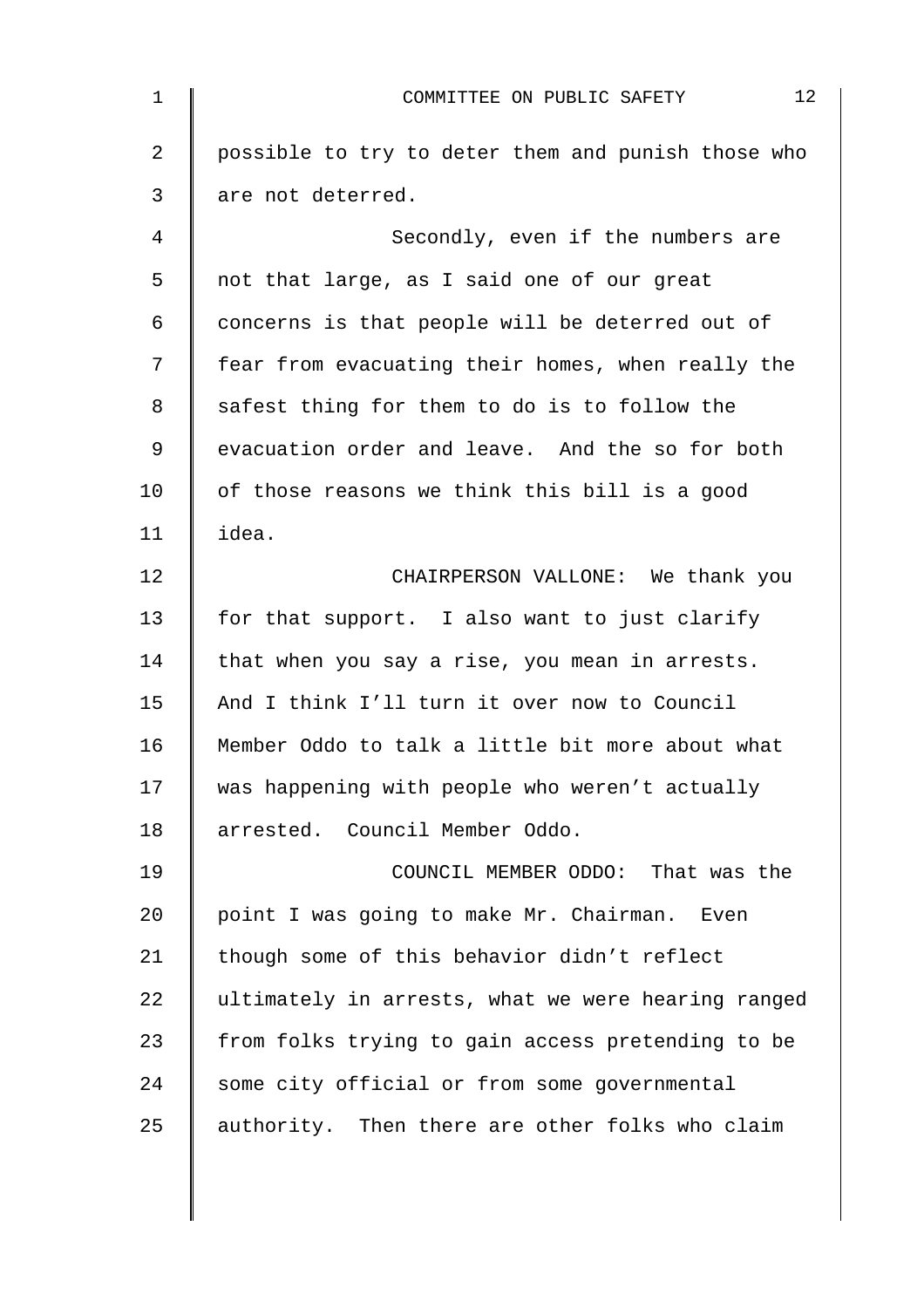| $\mathbf{1}$   | 12<br>COMMITTEE ON PUBLIC SAFETY                   |
|----------------|----------------------------------------------------|
| $\overline{2}$ | possible to try to deter them and punish those who |
| 3              | are not deterred.                                  |
| 4              | Secondly, even if the numbers are                  |
| 5              | not that large, as I said one of our great         |
| 6              | concerns is that people will be deterred out of    |
| 7              | fear from evacuating their homes, when really the  |
| 8              | safest thing for them to do is to follow the       |
| 9              | evacuation order and leave. And the so for both    |
| 10             | of those reasons we think this bill is a good      |
| 11             | idea.                                              |
| 12             | CHAIRPERSON VALLONE: We thank you                  |
| 13             | for that support. I also want to just clarify      |
| 14             | that when you say a rise, you mean in arrests.     |
| 15             | And I think I'll turn it over now to Council       |
| 16             | Member Oddo to talk a little bit more about what   |
| 17             | was happening with people who weren't actually     |
| 18             | arrested. Council Member Oddo.                     |
| 19             | COUNCIL MEMBER ODDO: That was the                  |
| 20             | point I was going to make Mr. Chairman. Even       |
| 21             | though some of this behavior didn't reflect        |
| 22             | ultimately in arrests, what we were hearing ranged |
| 23             | from folks trying to gain access pretending to be  |
| 24             | some city official or from some governmental       |
| 25             | authority. Then there are other folks who claim    |
|                |                                                    |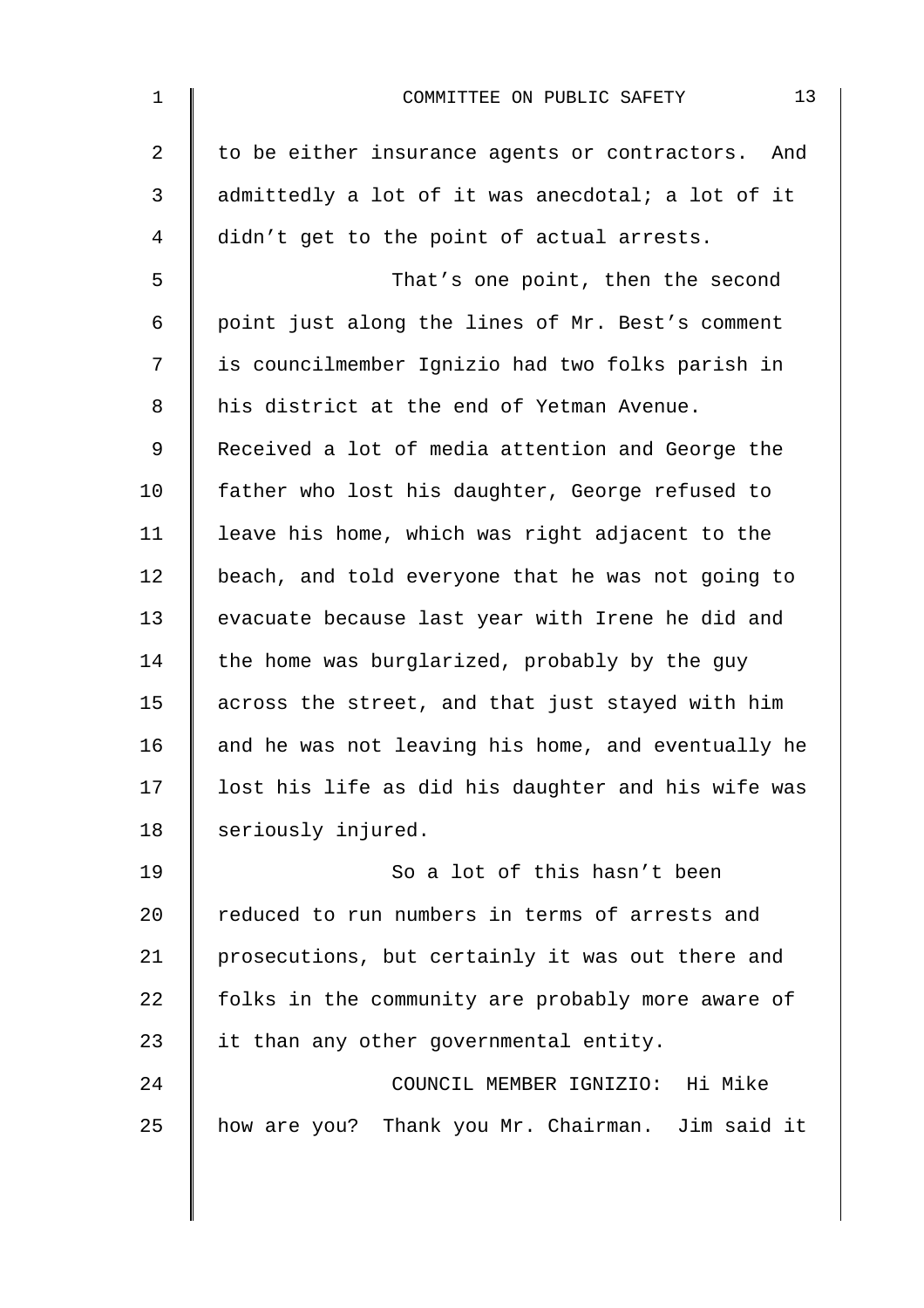| $\mathbf 1$ | 13<br>COMMITTEE ON PUBLIC SAFETY                   |
|-------------|----------------------------------------------------|
| 2           | to be either insurance agents or contractors. And  |
| 3           | admittedly a lot of it was anecdotal; a lot of it  |
| 4           | didn't get to the point of actual arrests.         |
| 5           | That's one point, then the second                  |
| 6           | point just along the lines of Mr. Best's comment   |
| 7           | is councilmember Ignizio had two folks parish in   |
| 8           | his district at the end of Yetman Avenue.          |
| 9           | Received a lot of media attention and George the   |
| 10          | father who lost his daughter, George refused to    |
| 11          | leave his home, which was right adjacent to the    |
| 12          | beach, and told everyone that he was not going to  |
| 13          | evacuate because last year with Irene he did and   |
| 14          | the home was burglarized, probably by the guy      |
| 15          | across the street, and that just stayed with him   |
| 16          | and he was not leaving his home, and eventually he |
| 17          | lost his life as did his daughter and his wife was |
| 18          | seriously injured.                                 |
| 19          | So a lot of this hasn't been                       |
| 20          | reduced to run numbers in terms of arrests and     |
| 21          | prosecutions, but certainly it was out there and   |
| 22          | folks in the community are probably more aware of  |
| 23          | it than any other governmental entity.             |
| 24          | COUNCIL MEMBER IGNIZIO: Hi Mike                    |
| 25          | how are you? Thank you Mr. Chairman. Jim said it   |
|             |                                                    |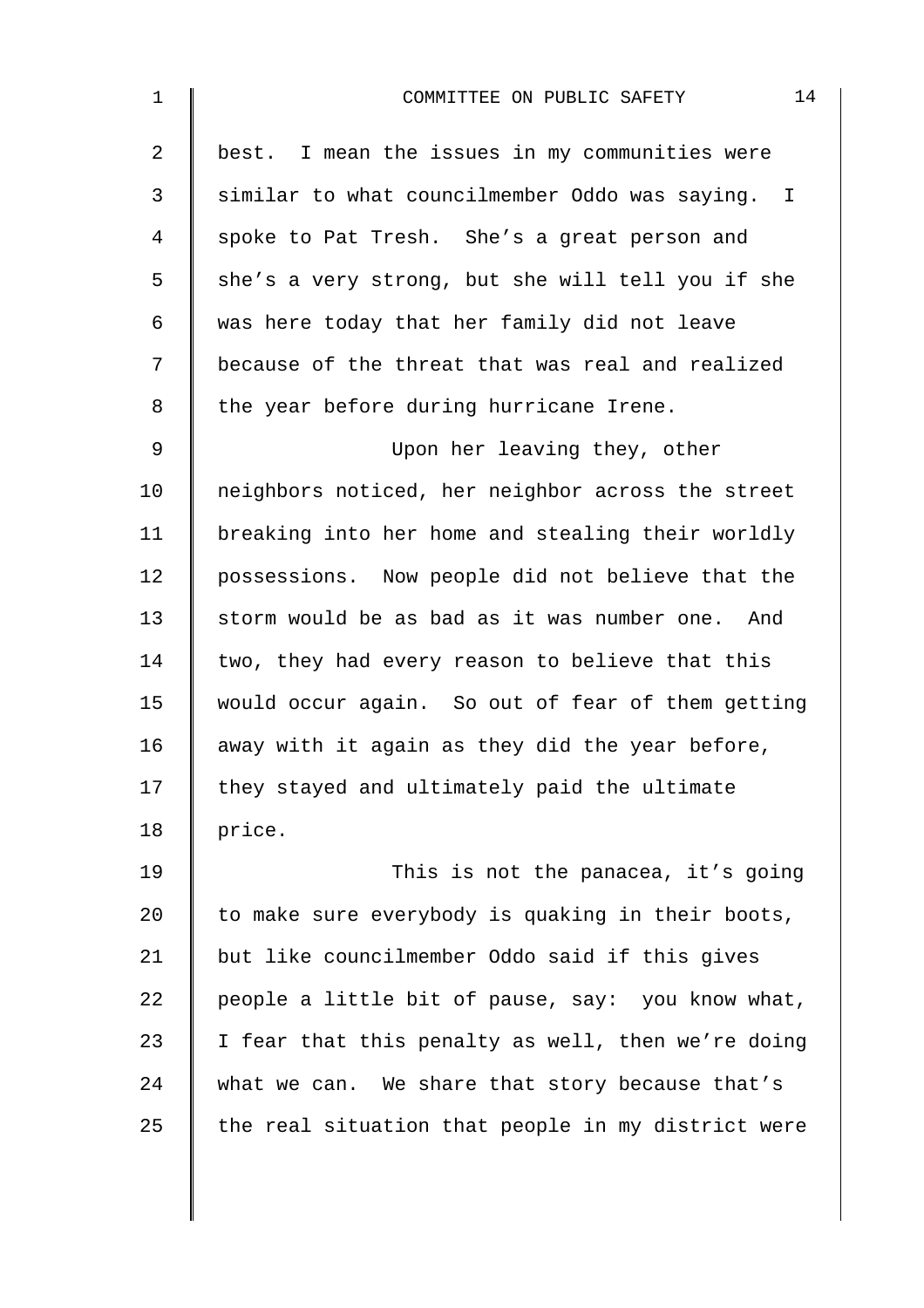| $1\,$ | 14<br>COMMITTEE ON PUBLIC SAFETY                   |
|-------|----------------------------------------------------|
| 2     | best. I mean the issues in my communities were     |
| 3     | similar to what councilmember Oddo was saying. I   |
| 4     | spoke to Pat Tresh. She's a great person and       |
| 5     | she's a very strong, but she will tell you if she  |
| 6     | was here today that her family did not leave       |
| 7     | because of the threat that was real and realized   |
| 8     | the year before during hurricane Irene.            |
| 9     | Upon her leaving they, other                       |
| 10    | neighbors noticed, her neighbor across the street  |
| 11    | breaking into her home and stealing their worldly  |
| 12    | possessions. Now people did not believe that the   |
| 13    | storm would be as bad as it was number one. And    |
| 14    | two, they had every reason to believe that this    |
| 15    | would occur again. So out of fear of them getting  |
| 16    | away with it again as they did the year before,    |
| 17    | they stayed and ultimately paid the ultimate       |
| 18    | price.                                             |
| 19    | This is not the panacea, it's going                |
| 20    | to make sure everybody is quaking in their boots,  |
| 21    | but like councilmember Oddo said if this gives     |
| 22    | people a little bit of pause, say: you know what,  |
| 23    | I fear that this penalty as well, then we're doing |
| 24    | what we can. We share that story because that's    |
| 25    | the real situation that people in my district were |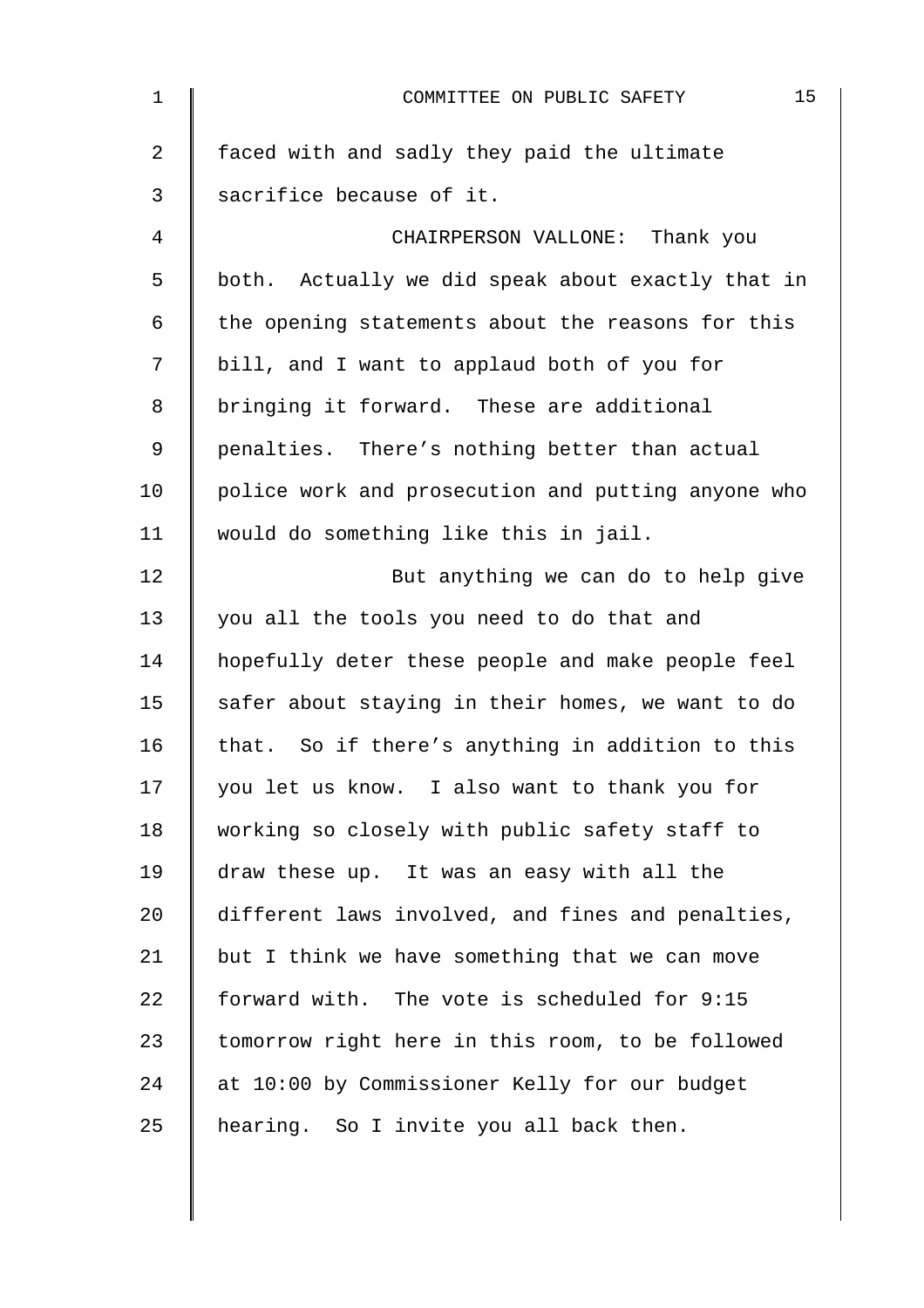| $\mathbf 1$    | 15<br>COMMITTEE ON PUBLIC SAFETY                   |
|----------------|----------------------------------------------------|
| $\overline{a}$ | faced with and sadly they paid the ultimate        |
| 3              | sacrifice because of it.                           |
| 4              | CHAIRPERSON VALLONE: Thank you                     |
| 5              | both. Actually we did speak about exactly that in  |
| 6              | the opening statements about the reasons for this  |
| 7              | bill, and I want to applaud both of you for        |
| 8              | bringing it forward. These are additional          |
| 9              | penalties. There's nothing better than actual      |
| 10             | police work and prosecution and putting anyone who |
| 11             | would do something like this in jail.              |
| 12             | But anything we can do to help give                |
| 13             | you all the tools you need to do that and          |
| 14             | hopefully deter these people and make people feel  |
| 15             | safer about staying in their homes, we want to do  |
| 16             | that. So if there's anything in addition to this   |
| 17             | you let us know. I also want to thank you for      |
| 18             | working so closely with public safety staff to     |
| 19             | draw these up. It was an easy with all the         |
| 20             | different laws involved, and fines and penalties,  |
| 21             | but I think we have something that we can move     |
| 22             | forward with. The vote is scheduled for 9:15       |
| 23             | tomorrow right here in this room, to be followed   |
| 24             | at 10:00 by Commissioner Kelly for our budget      |
| 25             | hearing. So I invite you all back then.            |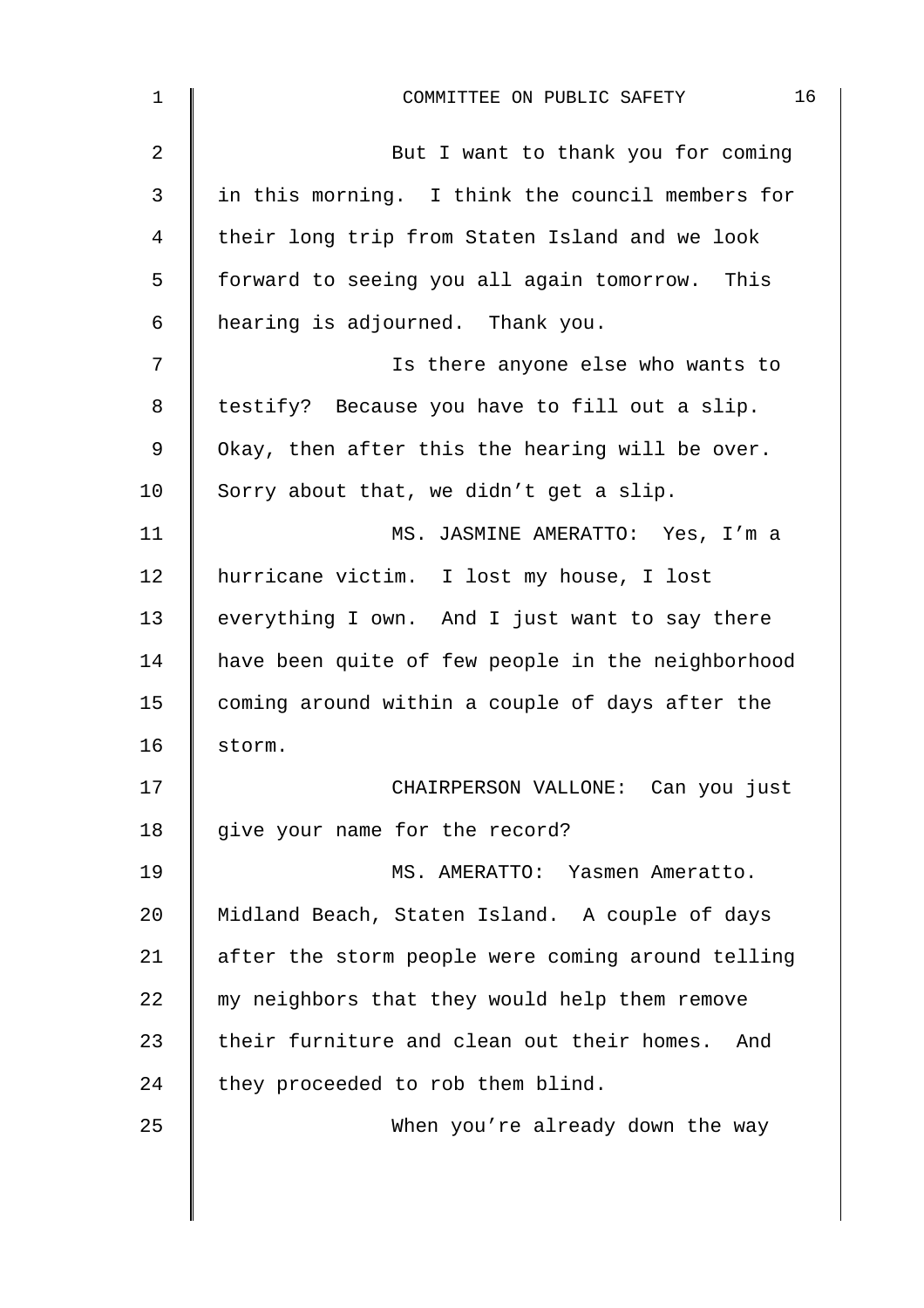| $\mathbf 1$    | 16<br>COMMITTEE ON PUBLIC SAFETY                  |
|----------------|---------------------------------------------------|
| $\overline{2}$ | But I want to thank you for coming                |
| 3              | in this morning. I think the council members for  |
| 4              | their long trip from Staten Island and we look    |
| 5              | forward to seeing you all again tomorrow. This    |
| 6              | hearing is adjourned. Thank you.                  |
| 7              | Is there anyone else who wants to                 |
| 8              | testify? Because you have to fill out a slip.     |
| 9              | Okay, then after this the hearing will be over.   |
| 10             | Sorry about that, we didn't get a slip.           |
| 11             | MS. JASMINE AMERATTO: Yes, I'm a                  |
| 12             | hurricane victim. I lost my house, I lost         |
| 13             | everything I own. And I just want to say there    |
| 14             | have been quite of few people in the neighborhood |
| 15             | coming around within a couple of days after the   |
| 16             | storm.                                            |
| 17             | CHAIRPERSON VALLONE: Can you just                 |
| 18             | give your name for the record?                    |
| 19             | MS. AMERATTO: Yasmen Ameratto.                    |
| 20             | Midland Beach, Staten Island. A couple of days    |
| 21             | after the storm people were coming around telling |
| 22             | my neighbors that they would help them remove     |
| 23             | their furniture and clean out their homes. And    |
| 24             | they proceeded to rob them blind.                 |
| 25             | When you're already down the way                  |
|                |                                                   |
|                |                                                   |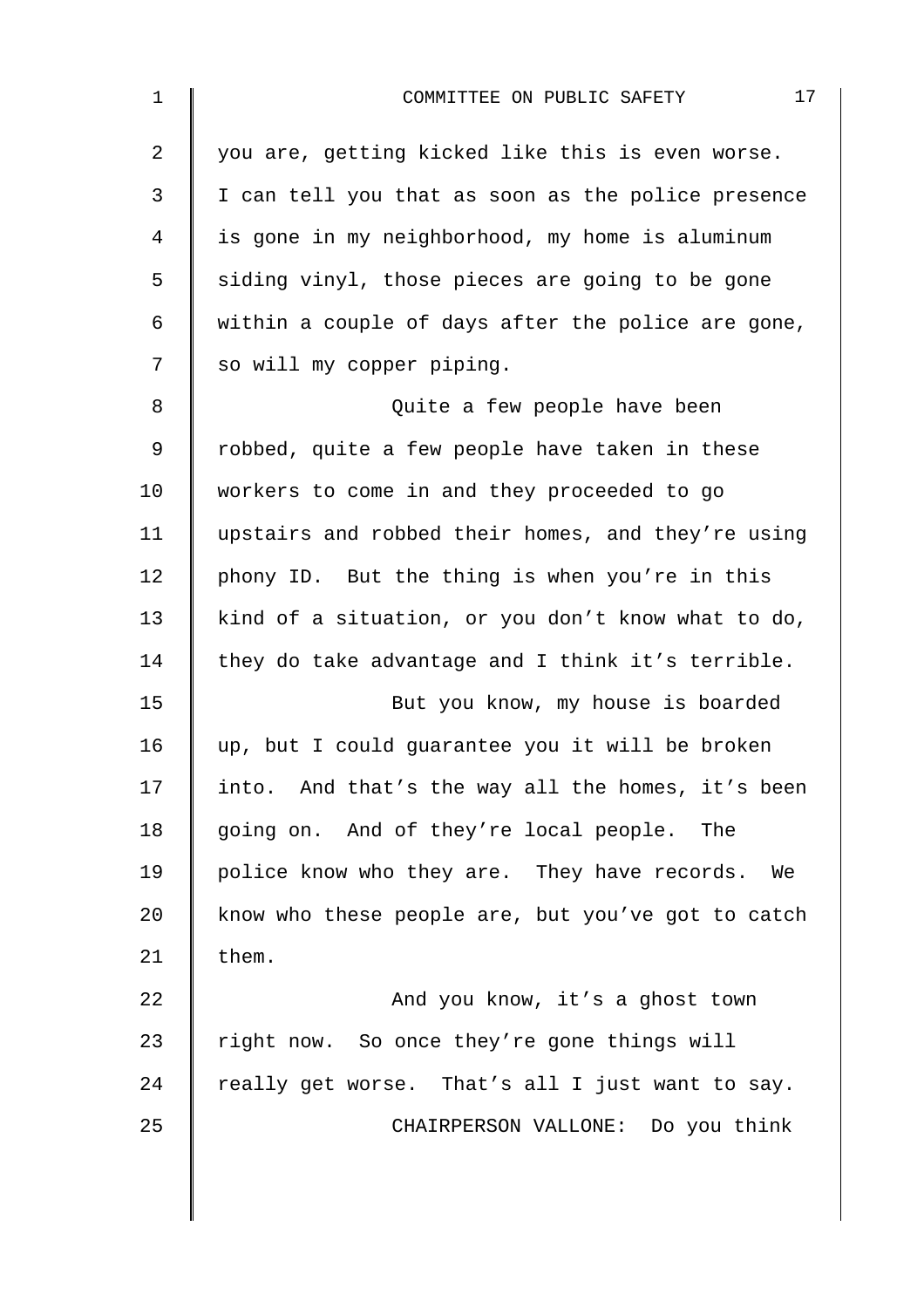| $\mathbf 1$    | 17<br>COMMITTEE ON PUBLIC SAFETY                   |
|----------------|----------------------------------------------------|
| $\overline{2}$ | you are, getting kicked like this is even worse.   |
| 3              | I can tell you that as soon as the police presence |
| 4              | is gone in my neighborhood, my home is aluminum    |
| 5              | siding vinyl, those pieces are going to be gone    |
| 6              | within a couple of days after the police are gone, |
| 7              | so will my copper piping.                          |
| 8              | Quite a few people have been                       |
| $\mathsf 9$    | robbed, quite a few people have taken in these     |
| 10             | workers to come in and they proceeded to go        |
| 11             | upstairs and robbed their homes, and they're using |
| 12             | phony ID. But the thing is when you're in this     |
| 13             | kind of a situation, or you don't know what to do, |
| 14             | they do take advantage and I think it's terrible.  |
| 15             | But you know, my house is boarded                  |
| 16             | up, but I could guarantee you it will be broken    |
| 17             | into. And that's the way all the homes, it's been  |
| 18             | going on. And of they're local people.<br>The      |
| 19             | police know who they are. They have records. We    |
| 20             | know who these people are, but you've got to catch |
| 21             | them.                                              |
| 22             | And you know, it's a ghost town                    |
| 23             | right now. So once they're gone things will        |
| 24             | really get worse. That's all I just want to say.   |
| 25             | CHAIRPERSON VALLONE: Do you think                  |
|                |                                                    |
|                |                                                    |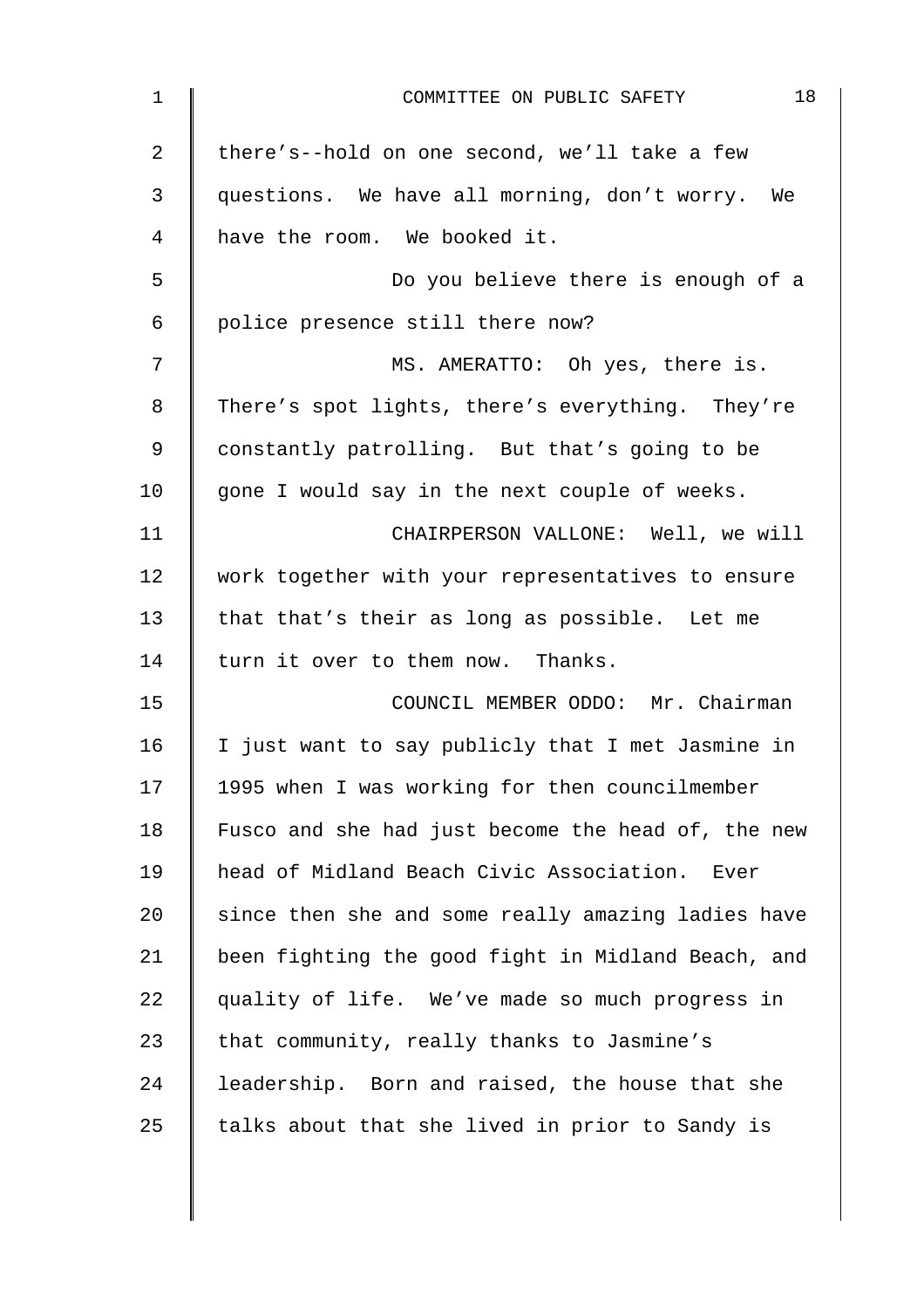| 1              | 18<br>COMMITTEE ON PUBLIC SAFETY                   |
|----------------|----------------------------------------------------|
| $\overline{2}$ | there's--hold on one second, we'll take a few      |
| 3              | questions. We have all morning, don't worry. We    |
| 4              | have the room. We booked it.                       |
| 5              | Do you believe there is enough of a                |
| 6              | police presence still there now?                   |
| 7              | MS. AMERATTO: Oh yes, there is.                    |
| 8              | There's spot lights, there's everything. They're   |
| 9              | constantly patrolling. But that's going to be      |
| 10             | gone I would say in the next couple of weeks.      |
| 11             | CHAIRPERSON VALLONE: Well, we will                 |
| 12             | work together with your representatives to ensure  |
| 13             | that that's their as long as possible. Let me      |
| 14             | turn it over to them now. Thanks.                  |
| 15             | COUNCIL MEMBER ODDO: Mr. Chairman                  |
| 16             | I just want to say publicly that I met Jasmine in  |
| 17             | 1995 when I was working for then councilmember     |
| 18             | Fusco and she had just become the head of, the new |
| 19             | head of Midland Beach Civic Association. Ever      |
| 20             | since then she and some really amazing ladies have |
| 21             | been fighting the good fight in Midland Beach, and |
| 22             | quality of life. We've made so much progress in    |
| 23             | that community, really thanks to Jasmine's         |
| 24             | leadership. Born and raised, the house that she    |
| 25             | talks about that she lived in prior to Sandy is    |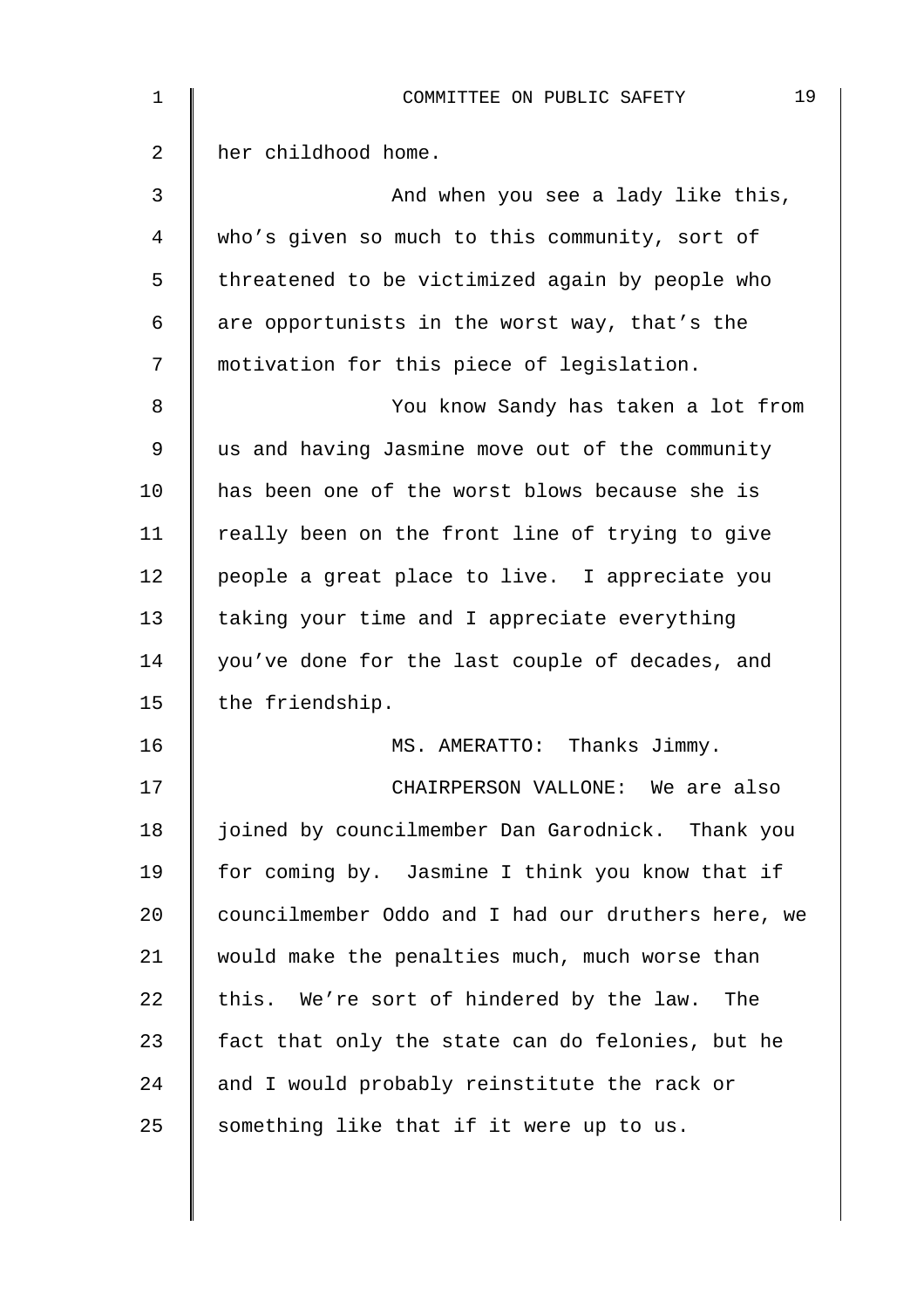| 1  | 19<br>COMMITTEE ON PUBLIC SAFETY                   |
|----|----------------------------------------------------|
| 2  | her childhood home.                                |
| 3  | And when you see a lady like this,                 |
| 4  | who's given so much to this community, sort of     |
| 5  | threatened to be victimized again by people who    |
| 6  | are opportunists in the worst way, that's the      |
| 7  | motivation for this piece of legislation.          |
| 8  | You know Sandy has taken a lot from                |
| 9  | us and having Jasmine move out of the community    |
| 10 | has been one of the worst blows because she is     |
| 11 | really been on the front line of trying to give    |
| 12 | people a great place to live. I appreciate you     |
| 13 | taking your time and I appreciate everything       |
| 14 | you've done for the last couple of decades, and    |
| 15 | the friendship.                                    |
| 16 | MS. AMERATTO: Thanks Jimmy.                        |
| 17 | CHAIRPERSON VALLONE: We are also                   |
| 18 | joined by councilmember Dan Garodnick. Thank you   |
| 19 | for coming by. Jasmine I think you know that if    |
| 20 | councilmember Oddo and I had our druthers here, we |
| 21 | would make the penalties much, much worse than     |
| 22 | this. We're sort of hindered by the law.<br>The    |
| 23 | fact that only the state can do felonies, but he   |
| 24 | and I would probably reinstitute the rack or       |
| 25 | something like that if it were up to us.           |
|    |                                                    |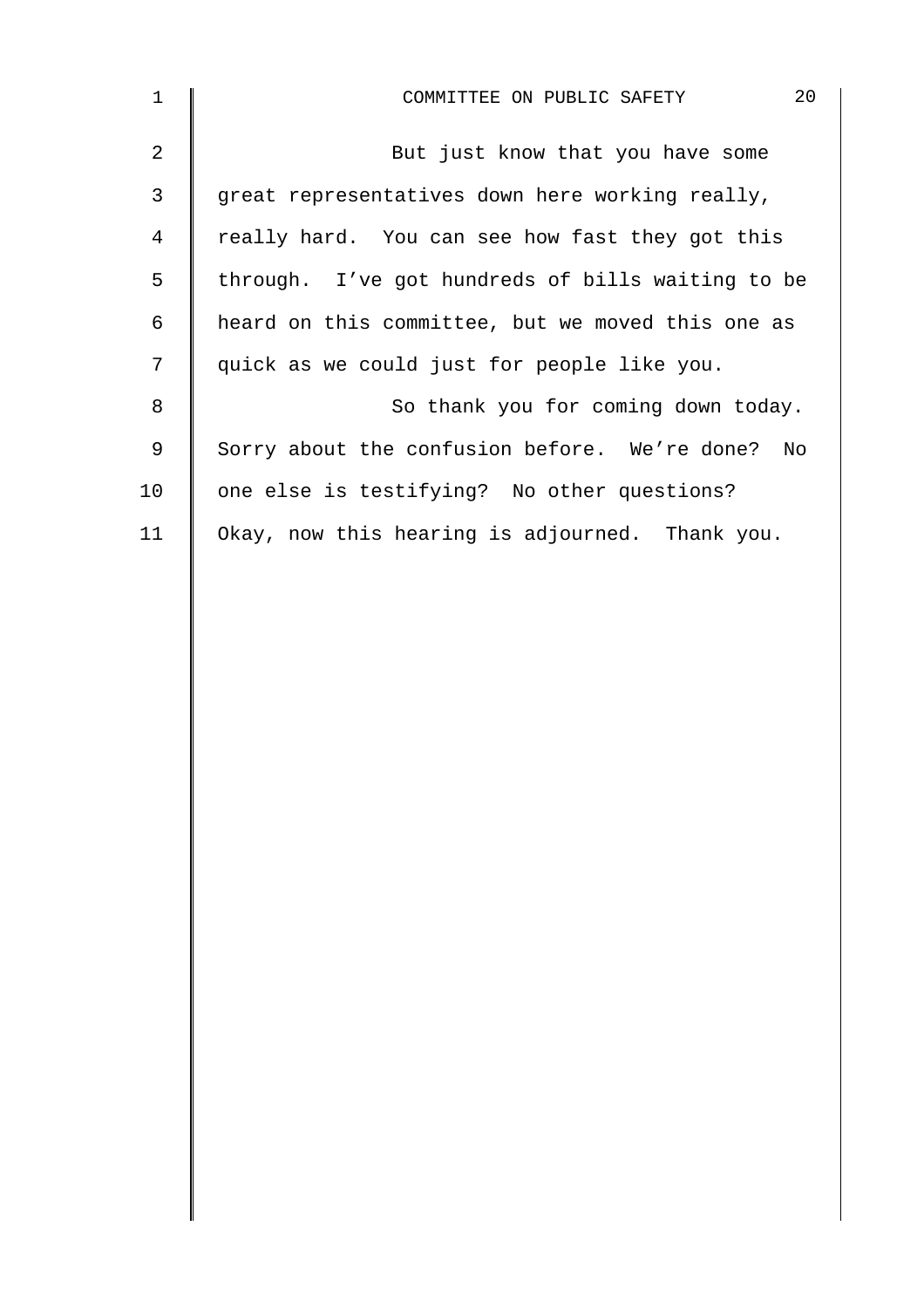| $\mathbf 1$ | 20<br>COMMITTEE ON PUBLIC SAFETY                  |
|-------------|---------------------------------------------------|
| 2           | But just know that you have some                  |
| 3           | great representatives down here working really,   |
| 4           | really hard. You can see how fast they got this   |
| 5           | through. I've got hundreds of bills waiting to be |
| 6           | heard on this committee, but we moved this one as |
| 7           | quick as we could just for people like you.       |
| 8           | So thank you for coming down today.               |
| 9           | Sorry about the confusion before. We're done? No  |
| 10          | one else is testifying? No other questions?       |
| 11          | Okay, now this hearing is adjourned. Thank you.   |